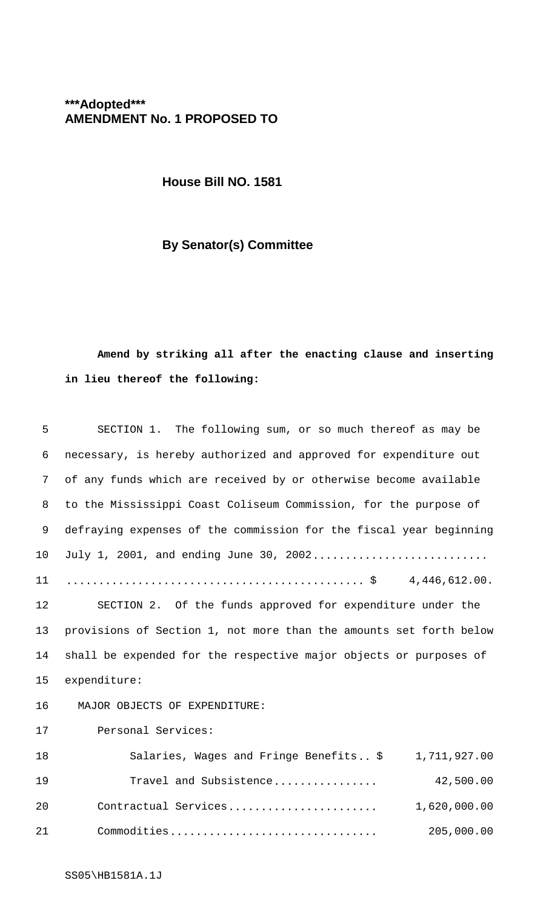## **\*\*\*Adopted\*\*\* AMENDMENT No. 1 PROPOSED TO**

**House Bill NO. 1581**

## **By Senator(s) Committee**

## **Amend by striking all after the enacting clause and inserting in lieu thereof the following:**

| 5  | SECTION 1. The following sum, or so much thereof as may be         |
|----|--------------------------------------------------------------------|
| 6  | necessary, is hereby authorized and approved for expenditure out   |
| 7  | of any funds which are received by or otherwise become available   |
| 8  | to the Mississippi Coast Coliseum Commission, for the purpose of   |
| 9  | defraying expenses of the commission for the fiscal year beginning |
| 10 | July 1, 2001, and ending June 30, 2002                             |
| 11 |                                                                    |
| 12 | SECTION 2. Of the funds approved for expenditure under the         |
| 13 | provisions of Section 1, not more than the amounts set forth below |
| 14 | shall be expended for the respective major objects or purposes of  |
| 15 | expenditure:                                                       |
| 16 | MAJOR OBJECTS OF EXPENDITURE:                                      |
| 17 | Personal Services:                                                 |
| 18 | Salaries, Wages and Fringe Benefits \$<br>1,711,927.00             |
| 19 | 42,500.00<br>Travel and Subsistence                                |
| 20 | 1,620,000.00<br>Contractual Services                               |
| 21 | 205,000.00<br>Commodities                                          |
|    |                                                                    |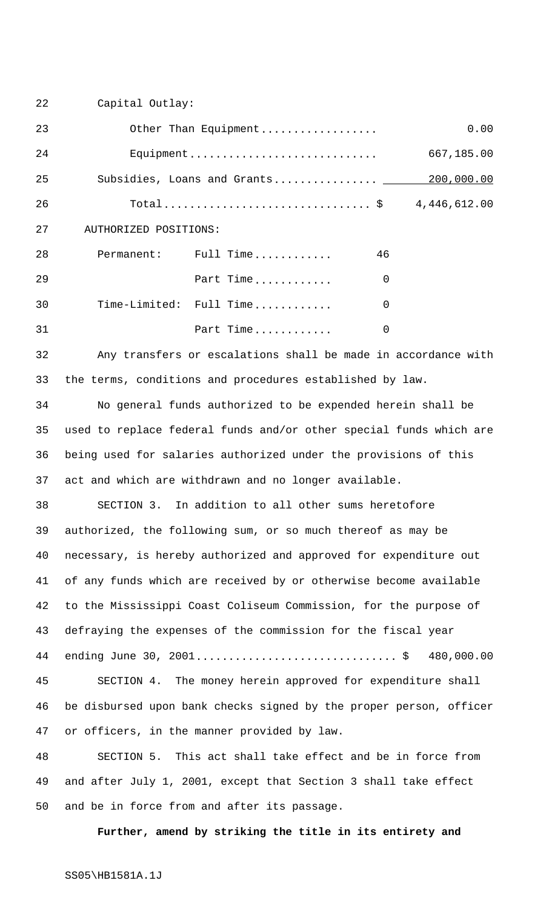Capital Outlay:

| 23 | Other Than Equipment               |                         |          | 0.00         |
|----|------------------------------------|-------------------------|----------|--------------|
| 24 | Equipment                          |                         |          | 667,185.00   |
| 25 | Subsidies, Loans and Grants ______ |                         |          | 200,000.00   |
| 26 |                                    |                         |          | 4,446,612.00 |
| 27 | AUTHORIZED POSITIONS:              |                         |          |              |
| 28 |                                    | Permanent: Full Time    | 46       |              |
| 29 |                                    | Part Time               | $\Omega$ |              |
| 30 |                                    | Time-Limited: Full Time | $\Omega$ |              |
| 31 |                                    | Part Time               | 0        |              |
|    |                                    |                         |          |              |

 Any transfers or escalations shall be made in accordance with the terms, conditions and procedures established by law.

 No general funds authorized to be expended herein shall be used to replace federal funds and/or other special funds which are being used for salaries authorized under the provisions of this act and which are withdrawn and no longer available.

38 SECTION 3. In addition to all other sums heretofore authorized, the following sum, or so much thereof as may be necessary, is hereby authorized and approved for expenditure out of any funds which are received by or otherwise become available to the Mississippi Coast Coliseum Commission, for the purpose of defraying the expenses of the commission for the fiscal year ending June 30, 2001............................... \$ 480,000.00 SECTION 4. The money herein approved for expenditure shall be disbursed upon bank checks signed by the proper person, officer or officers, in the manner provided by law.

 SECTION 5. This act shall take effect and be in force from and after July 1, 2001, except that Section 3 shall take effect and be in force from and after its passage.

**Further, amend by striking the title in its entirety and**